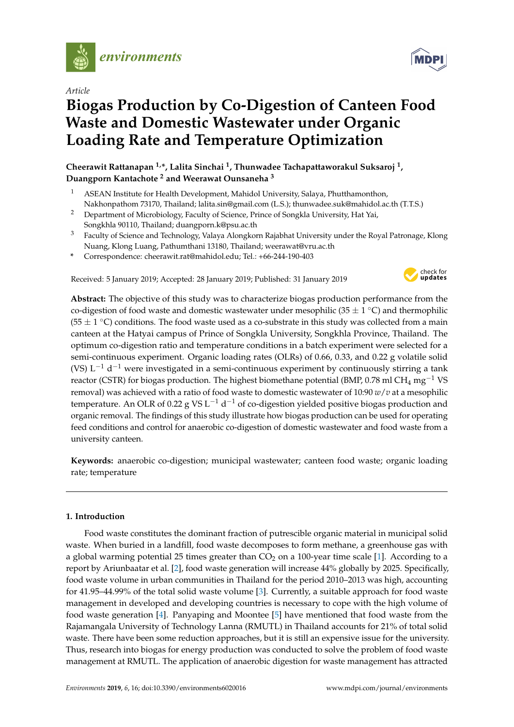

*Article*

# **Biogas Production by Co-Digestion of Canteen Food Waste and Domestic Wastewater under Organic Loading Rate and Temperature Optimization**

**Cheerawit Rattanapan 1,\*, Lalita Sinchai <sup>1</sup> , Thunwadee Tachapattaworakul Suksaroj <sup>1</sup> , Duangporn Kantachote <sup>2</sup> and Weerawat Ounsaneha <sup>3</sup>**

- <sup>1</sup> ASEAN Institute for Health Development, Mahidol University, Salaya, Phutthamonthon, Nakhonpathom 73170, Thailand; lalita.sin@gmail.com (L.S.); thunwadee.suk@mahidol.ac.th (T.T.S.)
- <sup>2</sup> Department of Microbiology, Faculty of Science, Prince of Songkla University, Hat Yai, Songkhla 90110, Thailand; duangporn.k@psu.ac.th
- <sup>3</sup> Faculty of Science and Technology, Valaya Alongkorn Rajabhat University under the Royal Patronage, Klong Nuang, Klong Luang, Pathumthani 13180, Thailand; weerawat@vru.ac.th
- **\*** Correspondence: cheerawit.rat@mahidol.edu; Tel.: +66-244-190-403

Received: 5 January 2019; Accepted: 28 January 2019; Published: 31 January 2019



**Abstract:** The objective of this study was to characterize biogas production performance from the co-digestion of food waste and domestic wastewater under mesophilic (35  $\pm$  1 °C) and thermophilic (55  $\pm$  1 °C) conditions. The food waste used as a co-substrate in this study was collected from a main canteen at the Hatyai campus of Prince of Songkla University, Songkhla Province, Thailand. The optimum co-digestion ratio and temperature conditions in a batch experiment were selected for a semi-continuous experiment. Organic loading rates (OLRs) of 0.66, 0.33, and 0.22 g volatile solid (VS) L<sup>-1</sup> d<sup>-1</sup> were investigated in a semi-continuous experiment by continuously stirring a tank reactor (CSTR) for biogas production. The highest biomethane potential (BMP, 0.78 ml CH<sub>4</sub> mg<sup>-1</sup> VS removal) was achieved with a ratio of food waste to domestic wastewater of 10:90 *w*/*v* at a mesophilic temperature. An OLR of 0.22 g VS L $^{-1}$  d $^{-1}$  of co-digestion yielded positive biogas production and organic removal. The findings of this study illustrate how biogas production can be used for operating feed conditions and control for anaerobic co-digestion of domestic wastewater and food waste from a university canteen.

**Keywords:** anaerobic co-digestion; municipal wastewater; canteen food waste; organic loading rate; temperature

## **1. Introduction**

Food waste constitutes the dominant fraction of putrescible organic material in municipal solid waste. When buried in a landfill, food waste decomposes to form methane, a greenhouse gas with a global warming potential 25 times greater than  $CO<sub>2</sub>$  on a 100-year time scale [\[1\]](#page-9-0). According to a report by Ariunbaatar et al. [\[2\]](#page-9-1), food waste generation will increase 44% globally by 2025. Specifically, food waste volume in urban communities in Thailand for the period 2010–2013 was high, accounting for 41.95–44.99% of the total solid waste volume [\[3\]](#page-9-2). Currently, a suitable approach for food waste management in developed and developing countries is necessary to cope with the high volume of food waste generation [\[4\]](#page-9-3). Panyaping and Moontee [\[5\]](#page-9-4) have mentioned that food waste from the Rajamangala University of Technology Lanna (RMUTL) in Thailand accounts for 21% of total solid waste. There have been some reduction approaches, but it is still an expensive issue for the university. Thus, research into biogas for energy production was conducted to solve the problem of food waste management at RMUTL. The application of anaerobic digestion for waste management has attracted

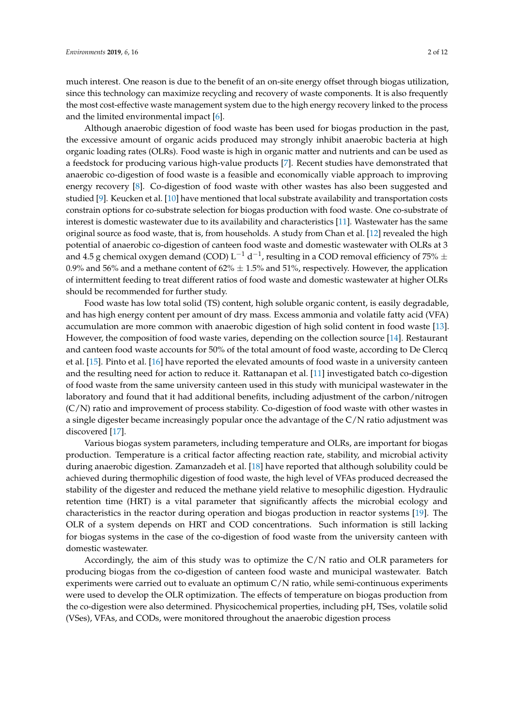much interest. One reason is due to the benefit of an on-site energy offset through biogas utilization, since this technology can maximize recycling and recovery of waste components. It is also frequently the most cost-effective waste management system due to the high energy recovery linked to the process and the limited environmental impact [\[6\]](#page-9-5).

Although anaerobic digestion of food waste has been used for biogas production in the past, the excessive amount of organic acids produced may strongly inhibit anaerobic bacteria at high organic loading rates (OLRs). Food waste is high in organic matter and nutrients and can be used as a feedstock for producing various high-value products [\[7\]](#page-9-6). Recent studies have demonstrated that anaerobic co-digestion of food waste is a feasible and economically viable approach to improving energy recovery [\[8\]](#page-9-7). Co-digestion of food waste with other wastes has also been suggested and studied [\[9\]](#page-9-8). Keucken et al. [\[10\]](#page-9-9) have mentioned that local substrate availability and transportation costs constrain options for co-substrate selection for biogas production with food waste. One co-substrate of interest is domestic wastewater due to its availability and characteristics [\[11\]](#page-10-0). Wastewater has the same original source as food waste, that is, from households. A study from Chan et al. [\[12\]](#page-10-1) revealed the high potential of anaerobic co-digestion of canteen food waste and domestic wastewater with OLRs at 3 and 4.5 g chemical oxygen demand (COD) L $^{-1}$  d $^{-1}$ , resulting in a COD removal efficiency of 75%  $\pm$ 0.9% and 56% and a methane content of  $62\% \pm 1.5\%$  and 51%, respectively. However, the application of intermittent feeding to treat different ratios of food waste and domestic wastewater at higher OLRs should be recommended for further study.

Food waste has low total solid (TS) content, high soluble organic content, is easily degradable, and has high energy content per amount of dry mass. Excess ammonia and volatile fatty acid (VFA) accumulation are more common with anaerobic digestion of high solid content in food waste [\[13\]](#page-10-2). However, the composition of food waste varies, depending on the collection source [\[14\]](#page-10-3). Restaurant and canteen food waste accounts for 50% of the total amount of food waste, according to De Clercq et al. [\[15\]](#page-10-4). Pinto et al. [\[16\]](#page-10-5) have reported the elevated amounts of food waste in a university canteen and the resulting need for action to reduce it. Rattanapan et al. [\[11\]](#page-10-0) investigated batch co-digestion of food waste from the same university canteen used in this study with municipal wastewater in the laboratory and found that it had additional benefits, including adjustment of the carbon/nitrogen (C/N) ratio and improvement of process stability. Co-digestion of food waste with other wastes in a single digester became increasingly popular once the advantage of the C/N ratio adjustment was discovered [\[17\]](#page-10-6).

Various biogas system parameters, including temperature and OLRs, are important for biogas production. Temperature is a critical factor affecting reaction rate, stability, and microbial activity during anaerobic digestion. Zamanzadeh et al. [\[18\]](#page-10-7) have reported that although solubility could be achieved during thermophilic digestion of food waste, the high level of VFAs produced decreased the stability of the digester and reduced the methane yield relative to mesophilic digestion. Hydraulic retention time (HRT) is a vital parameter that significantly affects the microbial ecology and characteristics in the reactor during operation and biogas production in reactor systems [\[19\]](#page-10-8). The OLR of a system depends on HRT and COD concentrations. Such information is still lacking for biogas systems in the case of the co-digestion of food waste from the university canteen with domestic wastewater.

Accordingly, the aim of this study was to optimize the C/N ratio and OLR parameters for producing biogas from the co-digestion of canteen food waste and municipal wastewater. Batch experiments were carried out to evaluate an optimum C/N ratio, while semi-continuous experiments were used to develop the OLR optimization. The effects of temperature on biogas production from the co-digestion were also determined. Physicochemical properties, including pH, TSes, volatile solid (VSes), VFAs, and CODs, were monitored throughout the anaerobic digestion process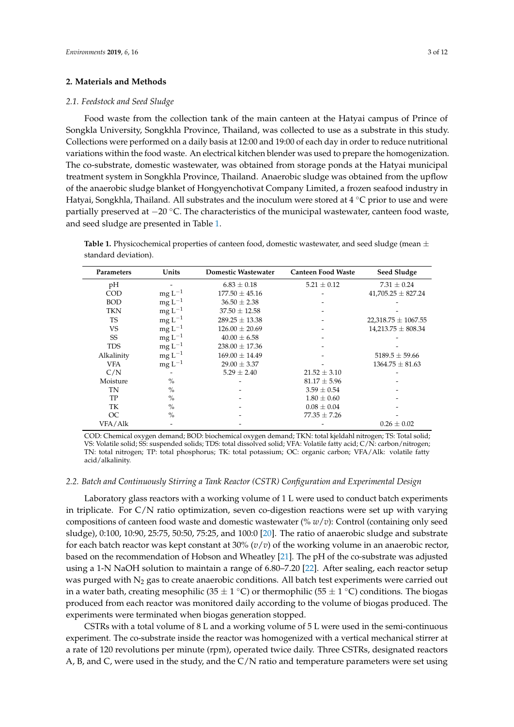### **2. Materials and Methods**

#### *2.1. Feedstock and Seed Sludge*

Food waste from the collection tank of the main canteen at the Hatyai campus of Prince of Songkla University, Songkhla Province, Thailand, was collected to use as a substrate in this study. Collections were performed on a daily basis at 12:00 and 19:00 of each day in order to reduce nutritional variations within the food waste. An electrical kitchen blender was used to prepare the homogenization. The co-substrate, domestic wastewater, was obtained from storage ponds at the Hatyai municipal treatment system in Songkhla Province, Thailand. Anaerobic sludge was obtained from the upflow of the anaerobic sludge blanket of Hongyenchotivat Company Limited, a frozen seafood industry in Hatyai, Songkhla, Thailand. All substrates and the inoculum were stored at  $4 °C$  prior to use and were partially preserved at −20 °C. The characteristics of the municipal wastewater, canteen food waste, and seed sludge are presented in Table [1.](#page-2-0)

<span id="page-2-0"></span>**Table 1.** Physicochemical properties of canteen food, domestic wastewater, and seed sludge (mean  $\pm$ standard deviation).

| Parameters | Units         | <b>Domestic Wastewater</b> | <b>Canteen Food Waste</b> | <b>Seed Sludge</b>      |
|------------|---------------|----------------------------|---------------------------|-------------------------|
| pH         |               | $6.83 \pm 0.18$            | $5.21 \pm 0.12$           | $7.31 \pm 0.24$         |
| COD        | $mgL^{-1}$    | $177.50 \pm 45.16$         |                           | $41,705.25 \pm 827.24$  |
| <b>BOD</b> | $mgL^{-1}$    | $36.50 \pm 2.38$           |                           |                         |
| TKN        | $mgL^{-1}$    | $37.50 \pm 12.58$          |                           |                         |
| <b>TS</b>  | $mgL^{-1}$    | $289.25 \pm 13.38$         |                           | $22,318.75 \pm 1067.55$ |
| VS         | $mgL^{-1}$    | $126.00 \pm 20.69$         |                           | $14,213.75 \pm 808.34$  |
| SS         | $mgL^{-1}$    | $40.00 \pm 6.58$           |                           |                         |
| <b>TDS</b> | $mgL^{-1}$    | $238.00 \pm 17.36$         |                           |                         |
| Alkalinity | $mgL^{-1}$    | $169.00 \pm 14.49$         |                           | $5189.5 \pm 59.66$      |
| VFA        | $mgL^{-1}$    | $29.00 \pm 3.37$           |                           | $1364.75 \pm 81.63$     |
| C/N        |               | $5.29 \pm 2.40$            | $21.52 \pm 3.10$          |                         |
| Moisture   | $\frac{0}{0}$ |                            | $81.17 \pm 5.96$          |                         |
| TN         | $\frac{0}{0}$ |                            | $3.59 \pm 0.54$           |                         |
| TP         | $\frac{0}{0}$ |                            | $1.80 \pm 0.60$           |                         |
| TK         | $\frac{0}{0}$ |                            | $0.08 \pm 0.04$           |                         |
| OC         | $\frac{0}{0}$ |                            | $77.35 \pm 7.26$          |                         |
| VFA/Alk    |               |                            |                           | $0.26 \pm 0.02$         |

COD: Chemical oxygen demand; BOD: biochemical oxygen demand; TKN: total kjeldahl nitrogen; TS: Total solid; VS: Volatile solid; SS: suspended solids; TDS: total dissolved solid; VFA: Volatile fatty acid; C/N: carbon/nitrogen; TN: total nitrogen; TP: total phosphorus; TK: total potassium; OC: organic carbon; VFA/Alk: volatile fatty acid/alkalinity.

#### *2.2. Batch and Continuously Stirring a Tank Reactor (CSTR) Configuration and Experimental Design*

Laboratory glass reactors with a working volume of 1 L were used to conduct batch experiments in triplicate. For  $C/N$  ratio optimization, seven co-digestion reactions were set up with varying compositions of canteen food waste and domestic wastewater (% *w*/*v*): Control (containing only seed sludge), 0:100, 10:90, 25:75, 50:50, 75:25, and 100:0 [\[20\]](#page-10-9). The ratio of anaerobic sludge and substrate for each batch reactor was kept constant at 30% (*v*/*v*) of the working volume in an anaerobic rector, based on the recommendation of Hobson and Wheatley [\[21\]](#page-10-10). The pH of the co-substrate was adjusted using a 1-N NaOH solution to maintain a range of 6.80–7.20 [\[22\]](#page-10-11). After sealing, each reactor setup was purged with  $N_2$  gas to create anaerobic conditions. All batch test experiments were carried out in a water bath, creating mesophilic (35  $\pm$  1 °C) or thermophilic (55  $\pm$  1 °C) conditions. The biogas produced from each reactor was monitored daily according to the volume of biogas produced. The experiments were terminated when biogas generation stopped.

CSTRs with a total volume of 8 L and a working volume of 5 L were used in the semi-continuous experiment. The co-substrate inside the reactor was homogenized with a vertical mechanical stirrer at a rate of 120 revolutions per minute (rpm), operated twice daily. Three CSTRs, designated reactors A, B, and C, were used in the study, and the C/N ratio and temperature parameters were set using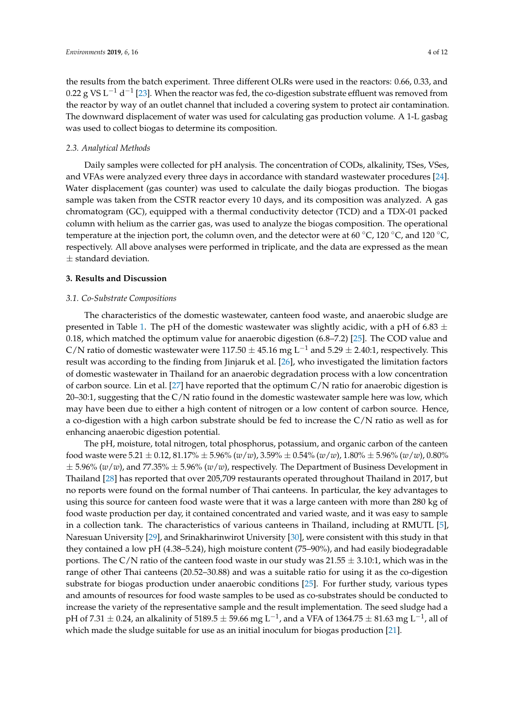the results from the batch experiment. Three different OLRs were used in the reactors: 0.66, 0.33, and 0.22 g VS L $^{-1}$  d $^{-1}$  [\[23\]](#page-10-12). When the reactor was fed, the co-digestion substrate effluent was removed from the reactor by way of an outlet channel that included a covering system to protect air contamination. The downward displacement of water was used for calculating gas production volume. A 1-L gasbag was used to collect biogas to determine its composition.

## *2.3. Analytical Methods*

Daily samples were collected for pH analysis. The concentration of CODs, alkalinity, TSes, VSes, and VFAs were analyzed every three days in accordance with standard wastewater procedures [\[24\]](#page-10-13). Water displacement (gas counter) was used to calculate the daily biogas production. The biogas sample was taken from the CSTR reactor every 10 days, and its composition was analyzed. A gas chromatogram (GC), equipped with a thermal conductivity detector (TCD) and a TDX-01 packed column with helium as the carrier gas, was used to analyze the biogas composition. The operational temperature at the injection port, the column oven, and the detector were at 60 °C, 120 °C, and 120 °C, respectively. All above analyses were performed in triplicate, and the data are expressed as the mean  $±$  standard deviation.

## **3. Results and Discussion**

#### *3.1. Co-Substrate Compositions*

The characteristics of the domestic wastewater, canteen food waste, and anaerobic sludge are presented in Table [1.](#page-2-0) The pH of the domestic wastewater was slightly acidic, with a pH of 6.83  $\pm$ 0.18, which matched the optimum value for anaerobic digestion (6.8–7.2) [\[25\]](#page-10-14). The COD value and C/N ratio of domestic wastewater were 117.50  $\pm$  45.16 mg L<sup>-1</sup> and 5.29  $\pm$  2.40:1, respectively. This result was according to the finding from Jinjaruk et al. [\[26\]](#page-10-15), who investigated the limitation factors of domestic wastewater in Thailand for an anaerobic degradation process with a low concentration of carbon source. Lin et al. [\[27\]](#page-10-16) have reported that the optimum C/N ratio for anaerobic digestion is 20–30:1, suggesting that the  $C/N$  ratio found in the domestic wastewater sample here was low, which may have been due to either a high content of nitrogen or a low content of carbon source. Hence, a co-digestion with a high carbon substrate should be fed to increase the C/N ratio as well as for enhancing anaerobic digestion potential.

The pH, moisture, total nitrogen, total phosphorus, potassium, and organic carbon of the canteen food waste were 5.21 ± 0.12, 81.17% ± 5.96% (*w*/*w*), 3.59% ± 0.54% (*w*/*w*), 1.80% ± 5.96% (*w*/*w*), 0.80%  $\pm$  5.96% (*w*/*w*), and 77.35%  $\pm$  5.96% (*w*/*w*), respectively. The Department of Business Development in Thailand [\[28\]](#page-10-17) has reported that over 205,709 restaurants operated throughout Thailand in 2017, but no reports were found on the formal number of Thai canteens. In particular, the key advantages to using this source for canteen food waste were that it was a large canteen with more than 280 kg of food waste production per day, it contained concentrated and varied waste, and it was easy to sample in a collection tank. The characteristics of various canteens in Thailand, including at RMUTL [\[5\]](#page-9-4), Naresuan University [\[29\]](#page-10-18), and Srinakharinwirot University [\[30\]](#page-10-19), were consistent with this study in that they contained a low pH (4.38–5.24), high moisture content (75–90%), and had easily biodegradable portions. The C/N ratio of the canteen food waste in our study was  $21.55 \pm 3.10$ :1, which was in the range of other Thai canteens (20.52–30.88) and was a suitable ratio for using it as the co-digestion substrate for biogas production under anaerobic conditions [\[25\]](#page-10-14). For further study, various types and amounts of resources for food waste samples to be used as co-substrates should be conducted to increase the variety of the representative sample and the result implementation. The seed sludge had a pH of 7.31  $\pm$  0.24, an alkalinity of 5189.5  $\pm$  59.66 mg L $^{-1}$ , and a VFA of 1364.75  $\pm$  81.63 mg L $^{-1}$ , all of which made the sludge suitable for use as an initial inoculum for biogas production [\[21\]](#page-10-10).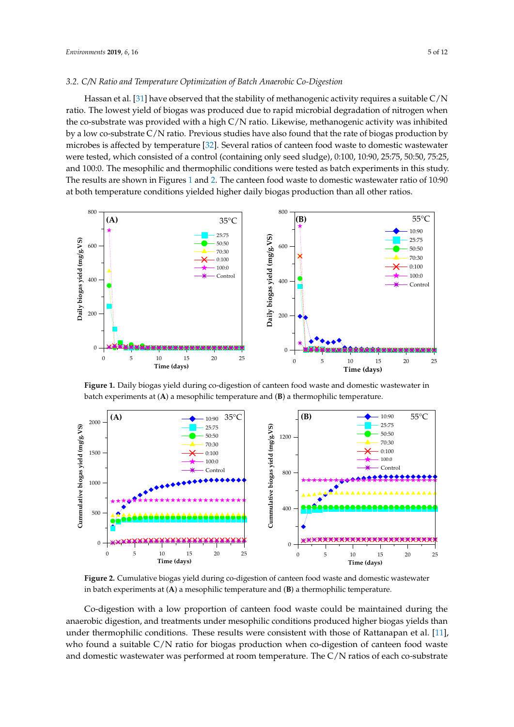## 3.2. C/N Ratio and Temperature Optimization of Batch Anaerobic Co-Digestion  $\frac{1}{2}$  found  $\frac{1}{2}$ . But assumed to performance to assume that  $\frac{1}{2}$  ratio and temperature and temperature  $\frac{1}{2}$

Hassan et al. [\[31\]](#page-10-20) have observed that the stability of methanogenic activity requires a suitable  $C/N$ ratio. The lowest yield of biogas was produced due to rapid microbial degradation of nitrogen when the co-substrate was provided with a high C/N ratio. Likewise, methanogenic activity was inhibited by a low co-substrate C/N ratio. Previous studies have also found that the rate of biogas production by microbes is affected by temperature [\[32\]](#page-10-21). Several ratios of canteen food waste to domestic wastewater were tested, which consisted of a control (containing only seed sludge), 0:100, 10:90, 25:75, 50:50, 75:25, and 100:0. The mesophilic and thermophilic conditions were tested as batch experiments in this study. The results are shown in Figures 1 and 2. The canteen food waste to domestic wastewater ratio of 10:90  $\,$ at both temperature conditions yielded higher daily biogas production than all other ratios.

<span id="page-4-0"></span>

**Figure 1.** Daily biogas yield during co-digestion of canteen food waste and domestic wastewater in **Figure 1.** Daily biogas yield during co-digestion of canteen food waste and domestic wastewater in batch experiments at (**A**) a mesophilic temperature and (**B**) a thermophilic temperature. batch experiments at (**A**) a mesophilic temperature and (**B**) a thermophilic temperature.

<span id="page-4-1"></span>

**Figure 2.** Cumulative biogas yield during co-digestion of canteen food waste and domestic **Figure 2.** Cumulative biogas yield during co-digestion of canteen food waste and domestic wastewater<br>in batch experiments at (**A**) a mesophilic temperature and (**B**) a thermophilic temperature.

Co-digestion with a low proportion of canteen food waste could be maintained during the anaerobic digestion, and treatments under mesophilic conditions produced higher biogas yields than **Ratio found a suitable C/N ratio for biogas production <b>C** and domestic wastewater was performed at room temperature. The C/N ratios of each co-substrate under thermophilic conditions. These results were consistent with those of Rattanapan et al. [\[11\]](#page-10-0), who found a suitable C/N ratio for biogas production when co-digestion of canteen food waste  $\frac{1}{2}$   $\frac{1}{2}$   $\frac{1}{2}$   $\frac{1}{2}$   $\frac{1}{2}$   $\frac{1}{2}$   $\frac{1}{2}$   $\frac{1}{2}$   $\frac{1}{2}$   $\frac{1}{2}$   $\frac{1}{2}$   $\frac{1}{2}$   $\frac{1}{2}$   $\frac{1}{2}$   $\frac{1}{2}$   $\frac{1}{2}$   $\frac{1}{2}$   $\frac{1}{2}$   $\frac{1}{2}$   $\frac{1}{2}$   $\frac{1}{2}$   $\frac{1}{2}$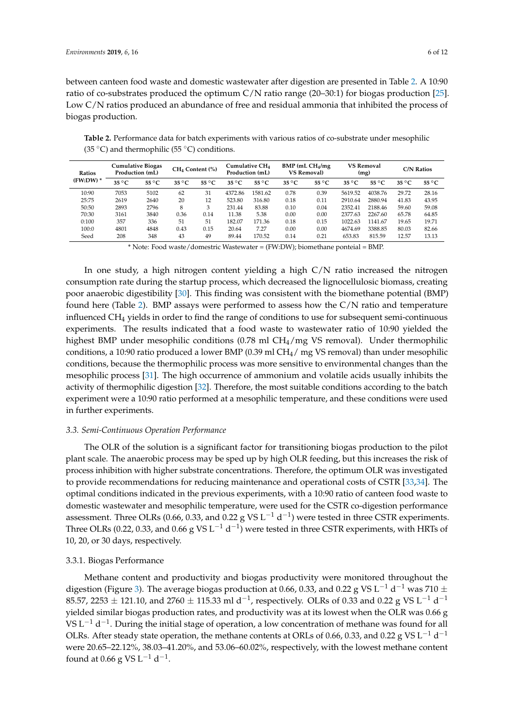between canteen food waste and domestic wastewater after digestion are presented in Table [2.](#page-5-0) A 10:90 ratio of co-substrates produced the optimum C/N ratio range (20–30:1) for biogas production [\[25\]](#page-10-14). Low C/N ratios produced an abundance of free and residual ammonia that inhibited the process of biogas production.

| <b>Ratios</b> | <b>Cumulative Biogas</b><br>Production (mL) |                | CH <sub>4</sub> Content (%) |                | Cumulative CH <sub>4</sub><br>Production (mL) |                | $BMP$ (mL $CH4/mg$<br><b>VS Removal)</b> |                | <b>VS Removal</b><br>(mg) |                | <b>C/N Ratios</b> |                |
|---------------|---------------------------------------------|----------------|-----------------------------|----------------|-----------------------------------------------|----------------|------------------------------------------|----------------|---------------------------|----------------|-------------------|----------------|
| $(FW:DW)^*$   | $35^{\circ}$ C                              | $55^{\circ}$ C | $35^{\circ}$ C              | $55^{\circ}$ C | $35^{\circ}$ C                                | $55^{\circ}$ C | $35^{\circ}$ C                           | $55^{\circ}$ C | $35^{\circ}$ C            | $55^{\circ}$ C | $35^{\circ}$ C    | $55^{\circ}$ C |
| 10:90         | 7053                                        | 5102           | 62                          | 31             | 4372.86                                       | 1581.62        | 0.78                                     | 0.39           | 5619.52                   | 4038.76        | 29.72             | 28.16          |
| 25:75         | 2619                                        | 2640           | 20                          | 12             | 523.80                                        | 316.80         | 0.18                                     | 0.11           | 2910.64                   | 2880.94        | 41.83             | 43.95          |
| 50:50         | 2893                                        | 2796           | 8                           | 3              | 231.44                                        | 83.88          | 0.10                                     | 0.04           | 2352.41                   | 2188.46        | 59.60             | 59.08          |
| 70:30         | 3161                                        | 3840           | 0.36                        | 0.14           | 11.38                                         | 5.38           | 0.00                                     | 0.00           | 2377.63                   | 2267.60        | 65.78             | 64.85          |
| 0:100         | 357                                         | 336            | 51                          | 51             | 182.07                                        | 171.36         | 0.18                                     | 0.15           | 1022.63                   | 1141.67        | 19.65             | 19.71          |
| 100:0         | 4801                                        | 4848           | 0.43                        | 0.15           | 20.64                                         | 7.27           | 0.00                                     | 0.00           | 4674.69                   | 3388.85        | 80.03             | 82.66          |
| Seed          | 208                                         | 348            | 43                          | 49             | 89.44                                         | 170.52         | 0.14                                     | 0.21           | 653.83                    | 815.59         | 12.57             | 13.13          |

<span id="page-5-0"></span>**Table 2.** Performance data for batch experiments with various ratios of co-substrate under mesophilic (35 °C) and thermophilic (55 °C) conditions.

\* Note: Food waste/domestric Wastewater = (FW:DW); biomethane ponteial = BMP.

In one study, a high nitrogen content yielding a high  $C/N$  ratio increased the nitrogen consumption rate during the startup process, which decreased the lignocellulosic biomass, creating poor anaerobic digestibility [\[30\]](#page-10-19). This finding was consistent with the biomethane potential (BMP) found here (Table [2\)](#page-5-0). BMP assays were performed to assess how the C/N ratio and temperature influenced CH<sup>4</sup> yields in order to find the range of conditions to use for subsequent semi-continuous experiments. The results indicated that a food waste to wastewater ratio of 10:90 yielded the highest BMP under mesophilic conditions (0.78 ml CH<sub>4</sub>/mg VS removal). Under thermophilic conditions, a 10:90 ratio produced a lower BMP (0.39 ml CH<sub>4</sub>/ mg VS removal) than under mesophilic conditions, because the thermophilic process was more sensitive to environmental changes than the mesophilic process [\[31\]](#page-10-20). The high occurrence of ammonium and volatile acids usually inhibits the activity of thermophilic digestion [\[32\]](#page-10-21). Therefore, the most suitable conditions according to the batch experiment were a 10:90 ratio performed at a mesophilic temperature, and these conditions were used in further experiments.

## *3.3. Semi-Continuous Operation Performance*

The OLR of the solution is a significant factor for transitioning biogas production to the pilot plant scale. The anaerobic process may be sped up by high OLR feeding, but this increases the risk of process inhibition with higher substrate concentrations. Therefore, the optimum OLR was investigated to provide recommendations for reducing maintenance and operational costs of CSTR [\[33,](#page-10-22)[34\]](#page-11-0). The optimal conditions indicated in the previous experiments, with a 10:90 ratio of canteen food waste to domestic wastewater and mesophilic temperature, were used for the CSTR co-digestion performance assessment. Three OLRs (0.66, 0.33, and 0.22 g VS L<sup>-1</sup> d<sup>-1</sup>) were tested in three CSTR experiments. Three OLRs (0.22, 0.33, and 0.66 g VS L $^{-1}$  d $^{-1}$ ) were tested in three CSTR experiments, with HRTs of 10, 20, or 30 days, respectively.

## 3.3.1. Biogas Performance

Methane content and productivity and biogas productivity were monitored throughout the digestion (Figure [3\)](#page-6-0). The average biogas production at 0.66, 0.33, and 0.22 g VS L $^{-1}$  d $^{-1}$  was 710  $\pm$ 85.57, 2253  $\pm$  121.10, and 2760  $\pm$  115.33 ml d $^{-1}$ , respectively. OLRs of 0.33 and 0.22 g VS L $^{-1}$  d $^{-1}$ yielded similar biogas production rates, and productivity was at its lowest when the OLR was 0.66 g VS L<sup>-1</sup> d<sup>-1</sup>. During the initial stage of operation, a low concentration of methane was found for all OLRs. After steady state operation, the methane contents at ORLs of 0.66, 0.33, and 0.22 g VS L<sup>-1</sup> d<sup>-1</sup> were 20.65–22.12%, 38.03–41.20%, and 53.06–60.02%, respectively, with the lowest methane content found at 0.66 g VS L<sup>-1</sup> d<sup>-1</sup>.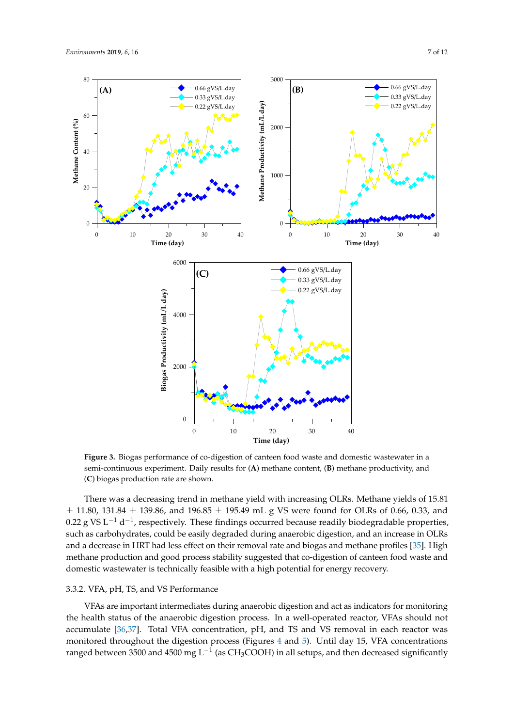<span id="page-6-0"></span>

**Figure 3.** Biogas performance of co-digestion of canteen food waste and domestic wastewater in a **Figure 3.** Biogas performance of co-digestion of canteen food waste and domestic wastewater in a semi-continuous experiment. Daily results for (**A**) methane content, (**B**) methane productivity, and semi-continuous experiment. Daily results for (**A**) methane content, (**B**) methane productivity, and (**C**) biogas production rate are shown. (**C**) biogas production rate are shown.

 $\pm$  11.80, 131.84  $\pm$  139.86, and 196.85  $\pm$  195.49 mL g VS were found for OLRs of 0.66, 0.33, and 0.22 g VS L<sup>−1</sup> d<sup>−1</sup>, respectively. These findings occurred because readily biodegradable properties, such as carbohydrates, could be easily degraded during anaerobic digestion, and an increase in OLRs and a decrease in HRT had less effect on their removal rate and biogas and methane profiles [35]. High methane production and good process stability suggested that co-digestion of canteen food waste and domestic wastewater is technically feasible with a high potential for energy recovery. There was a decreasing trend in methane yield with increasing OLRs. Methane yields of 15.81

## until the termination of biogas formation in reactors at OLRs of 0.33 and 0.22 g VS L−1 d−1. In contrast, 3.3.2. VFA, pH, TS, and VS Performance

VFAs are important intermediates during anaerobic digestion and act as indicators for monitoring the health status of the anaerobic digestion process. In a well-operated reactor, VFAs should not accumulate [\[36,](#page-11-2)[37\]](#page-11-3). Total VFA concentration, pH, and TS and VS removal in each reactor was monitored throughout the digestion process (Figures [4](#page-7-0) and [5\)](#page-7-1). Until day 15, VFA concentrations ranged between 3500 and 4500 mg L $^{-1}$  (as CH3COOH) in all setups, and then decreased significantly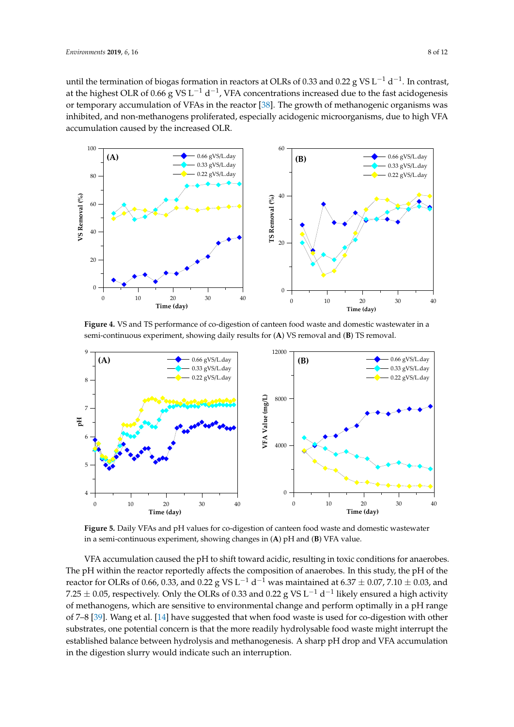until the termination of biogas formation in reactors at OLRs of 0.33 and 0.22 g VS L<sup>-1</sup> d<sup>-1</sup>. In contrast, at the highest OLR of 0.66 g VS L<sup>-1</sup> d<sup>-1</sup>, VFA concentrations increased due to the fast acidogenesis or temporary accumulation of VFAs in the reactor [\[38\]](#page-11-4). The growth of methanogenic organisms was or temporary accumulation of VFAs in the reactor [38]. The growth of methanogenic organisms was<br>inhibited, and non-methanogens proliferated, especially acidogenic microorganisms, due to high VFA accumulation caused by the increased OLR. until the termination of biogas formation in reactors at OLRs of 0.33 and 0.22  $g$  VS L<sup>-1</sup> d<sup>-1</sup>. In contrast,

<span id="page-7-0"></span>

**Example 1.** Yo and 10 performance of eo digestion of earlier rood waste and domestic wastewater in a semi-continuous experiment, showing daily results for (**A**) VS removal and (**B**) TS removal. **Figure 4.** VS and TS performance of co-digestion of canteen food waste and domestic wastewater in a

<span id="page-7-1"></span>

**Figure 5.** Daily VFAs and pH values for co-digestion of canteen food waste and domestic wastewater in a semi-continuous experiment, showing changes in (**A**) pH and (**B**) VFA value.

VFA accumulation caused the pH to shift toward acidic, resulting in toxic conditions for anaerobes. reactor for OLRs of 0.66, 0.33, and 0.22 g VS L<sup>−1</sup> d<sup>−1</sup> was maintained at 6.37  $\pm$  0.07, 7.10  $\pm$  0.03, and of methanogens, which are sensitive to environmental change and perform optimally in a pH range  $\overline{G}$  a tool. We are the lattice in a pH range **0.66 0.33 0.22**  of 7–8 [\[39\]](#page-11-5). Wang et al. [\[14\]](#page-10-3) have suggested that when food waste is used for co-digestion with other substrates, one potential concern is that the more readily hydrolysable food waste might interrupt the in the digestion slurry would indicate such an interruption. The pH within the reactor reportedly affects the composition of anaerobes. In this study, the pH of the 7.25  $\pm$  0.05, respectively. Only the OLRs of 0.33 and 0.22 g VS L $^{-1}$  d $^{-1}$  likely ensured a high activity established balance between hydrolysis and methanogenesis. A sharp pH drop and VFA accumulation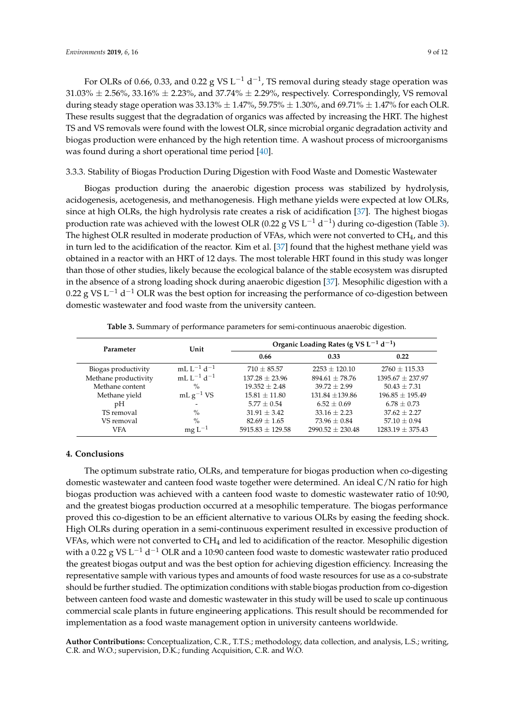For OLRs of 0.66, 0.33, and 0.22 g VS L<sup>-1</sup> d<sup>-1</sup>, TS removal during steady stage operation was  $31.03\% \pm 2.56\%, 33.16\% \pm 2.23\%,$  and  $37.74\% \pm 2.29\%,$  respectively. Correspondingly, VS removal during steady stage operation was  $33.13\% \pm 1.47\%$ ,  $59.75\% \pm 1.30\%$ , and  $69.71\% \pm 1.47\%$  for each OLR. These results suggest that the degradation of organics was affected by increasing the HRT. The highest TS and VS removals were found with the lowest OLR, since microbial organic degradation activity and biogas production were enhanced by the high retention time. A washout process of microorganisms was found during a short operational time period [\[40\]](#page-11-6).

## 3.3.3. Stability of Biogas Production During Digestion with Food Waste and Domestic Wastewater

Biogas production during the anaerobic digestion process was stabilized by hydrolysis, acidogenesis, acetogenesis, and methanogenesis. High methane yields were expected at low OLRs, since at high OLRs, the high hydrolysis rate creates a risk of acidification [\[37\]](#page-11-3). The highest biogas production rate was achieved with the lowest OLR (0.22 g VS L<sup>-1</sup> d<sup>-1</sup>) during co-digestion (Table [3\)](#page-8-0). The highest OLR resulted in moderate production of VFAs, which were not converted to CH<sub>4</sub>, and this in turn led to the acidification of the reactor. Kim et al. [\[37\]](#page-11-3) found that the highest methane yield was obtained in a reactor with an HRT of 12 days. The most tolerable HRT found in this study was longer than those of other studies, likely because the ecological balance of the stable ecosystem was disrupted in the absence of a strong loading shock during anaerobic digestion [\[37\]](#page-11-3). Mesophilic digestion with a 0.22 g VS L<sup>-1</sup> d<sup>-1</sup> OLR was the best option for increasing the performance of co-digestion between domestic wastewater and food waste from the university canteen.

| Table 3. Summary of performance parameters for semi-continuous anaerobic digestion. |  |  |  |  |  |
|-------------------------------------------------------------------------------------|--|--|--|--|--|
|-------------------------------------------------------------------------------------|--|--|--|--|--|

<span id="page-8-0"></span>

| Parameter            | Unit                       | Organic Loading Rates (g VS $L^{-1}$ d <sup>-1</sup> ) |                      |                      |  |  |
|----------------------|----------------------------|--------------------------------------------------------|----------------------|----------------------|--|--|
|                      |                            | 0.66                                                   | 0.33                 | 0.22                 |  |  |
| Biogas productivity  | mLL <sup>-1</sup> $d^{-1}$ | $710 \pm 85.57$                                        | $2253 \pm 120.10$    | $2760 \pm 115.33$    |  |  |
| Methane productivity | mLL <sup>-1</sup> $d^{-1}$ | $137.28 \pm 23.96$                                     | $894.61 \pm 78.76$   | $1395.67 \pm 237.97$ |  |  |
| Methane content      | $\%$                       | $19.352 + 2.48$                                        | $39.72 + 2.99$       | $50.43 \pm 7.31$     |  |  |
| Methane yield        | mL $g^{-1}$ VS             | $15.81 \pm 11.80$                                      | $131.84 + 139.86$    | $196.85 \pm 195.49$  |  |  |
| pH                   |                            | $5.77 + 0.54$                                          | $6.52 \pm 0.69$      | $6.78 \pm 0.73$      |  |  |
| TS removal           | $\%$                       | $31.91 \pm 3.42$                                       | $33.16 \pm 2.23$     | $37.62 + 2.27$       |  |  |
| VS removal           | $\frac{0}{0}$              | $82.69 \pm 1.65$                                       | $73.96 \pm 0.84$     | $57.10 \pm 0.94$     |  |  |
| <b>VFA</b>           | $mgL^{-1}$                 | $5915.83 \pm 129.58$                                   | $2990.52 \pm 230.48$ | $1283.19 \pm 375.43$ |  |  |

## **4. Conclusions**

The optimum substrate ratio, OLRs, and temperature for biogas production when co-digesting domestic wastewater and canteen food waste together were determined. An ideal C/N ratio for high biogas production was achieved with a canteen food waste to domestic wastewater ratio of 10:90, and the greatest biogas production occurred at a mesophilic temperature. The biogas performance proved this co-digestion to be an efficient alternative to various OLRs by easing the feeding shock. High OLRs during operation in a semi-continuous experiment resulted in excessive production of VFAs, which were not converted to CH<sup>4</sup> and led to acidification of the reactor. Mesophilic digestion with a 0.22 g VS L $^{-1}$  d $^{-1}$  OLR and a 10:90 canteen food waste to domestic wastewater ratio produced the greatest biogas output and was the best option for achieving digestion efficiency. Increasing the representative sample with various types and amounts of food waste resources for use as a co-substrate should be further studied. The optimization conditions with stable biogas production from co-digestion between canteen food waste and domestic wastewater in this study will be used to scale up continuous commercial scale plants in future engineering applications. This result should be recommended for implementation as a food waste management option in university canteens worldwide.

**Author Contributions:** Conceptualization, C.R., T.T.S.; methodology, data collection, and analysis, L.S.; writing, C.R. and W.O.; supervision, D.K.; funding Acquisition, C.R. and W.O.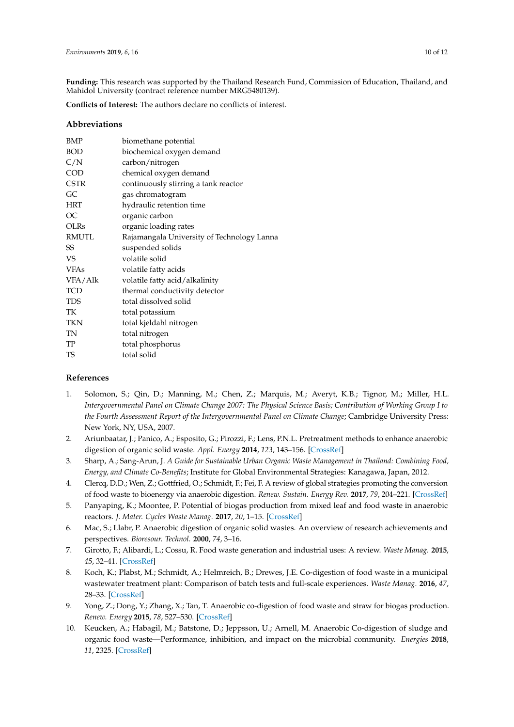**Funding:** This research was supported by the Thailand Research Fund, Commission of Education, Thailand, and Mahidol University (contract reference number MRG5480139).

**Conflicts of Interest:** The authors declare no conflicts of interest.

## **Abbreviations**

| biomethane potential                       |  |  |  |
|--------------------------------------------|--|--|--|
| biochemical oxygen demand                  |  |  |  |
| carbon/nitrogen                            |  |  |  |
| chemical oxygen demand                     |  |  |  |
| continuously stirring a tank reactor       |  |  |  |
| gas chromatogram                           |  |  |  |
| hydraulic retention time                   |  |  |  |
| organic carbon                             |  |  |  |
| organic loading rates                      |  |  |  |
| Rajamangala University of Technology Lanna |  |  |  |
| suspended solids                           |  |  |  |
| volatile solid                             |  |  |  |
| volatile fatty acids                       |  |  |  |
| volatile fatty acid/alkalinity             |  |  |  |
| thermal conductivity detector              |  |  |  |
| total dissolved solid                      |  |  |  |
| total potassium                            |  |  |  |
| total kjeldahl nitrogen                    |  |  |  |
| total nitrogen                             |  |  |  |
| total phosphorus                           |  |  |  |
| total solid                                |  |  |  |
|                                            |  |  |  |

## **References**

- <span id="page-9-0"></span>1. Solomon, S.; Qin, D.; Manning, M.; Chen, Z.; Marquis, M.; Averyt, K.B.; Tignor, M.; Miller, H.L. *Intergovernmental Panel on Climate Change 2007: The Physical Science Basis; Contribution of Working Group I to the Fourth Assessment Report of the Intergovernmental Panel on Climate Change*; Cambridge University Press: New York, NY, USA, 2007.
- <span id="page-9-1"></span>2. Ariunbaatar, J.; Panico, A.; Esposito, G.; Pirozzi, F.; Lens, P.N.L. Pretreatment methods to enhance anaerobic digestion of organic solid waste. *Appl. Energy* **2014**, *123*, 143–156. [\[CrossRef\]](http://dx.doi.org/10.1016/j.apenergy.2014.02.035)
- <span id="page-9-2"></span>3. Sharp, A.; Sang-Arun, J. *A Guide for Sustainable Urban Organic Waste Management in Thailand: Combining Food, Energy, and Climate Co-Benefits*; Institute for Global Environmental Strategies: Kanagawa, Japan, 2012.
- <span id="page-9-3"></span>4. Clercq, D.D.; Wen, Z.; Gottfried, O.; Schmidt, F.; Fei, F. A review of global strategies promoting the conversion of food waste to bioenergy via anaerobic digestion. *Renew. Sustain. Energy Rev.* **2017**, *79*, 204–221. [\[CrossRef\]](http://dx.doi.org/10.1016/j.rser.2017.05.047)
- <span id="page-9-4"></span>5. Panyaping, K.; Moontee, P. Potential of biogas production from mixed leaf and food waste in anaerobic reactors. *J. Mater. Cycles Waste Manag.* **2017**, *20*, 1–15. [\[CrossRef\]](http://dx.doi.org/10.1007/s10163-017-0629-x)
- <span id="page-9-5"></span>6. Mac, S.; Llabr, P. Anaerobic digestion of organic solid wastes. An overview of research achievements and perspectives. *Bioresour. Technol.* **2000**, *74*, 3–16.
- <span id="page-9-6"></span>7. Girotto, F.; Alibardi, L.; Cossu, R. Food waste generation and industrial uses: A review. *Waste Manag.* **2015**, *45*, 32–41. [\[CrossRef\]](http://dx.doi.org/10.1016/j.wasman.2015.06.008)
- <span id="page-9-7"></span>8. Koch, K.; Plabst, M.; Schmidt, A.; Helmreich, B.; Drewes, J.E. Co-digestion of food waste in a municipal wastewater treatment plant: Comparison of batch tests and full-scale experiences. *Waste Manag.* **2016**, *47*, 28–33. [\[CrossRef\]](http://dx.doi.org/10.1016/j.wasman.2015.04.022)
- <span id="page-9-8"></span>9. Yong, Z.; Dong, Y.; Zhang, X.; Tan, T. Anaerobic co-digestion of food waste and straw for biogas production. *Renew. Energy* **2015**, *78*, 527–530. [\[CrossRef\]](http://dx.doi.org/10.1016/j.renene.2015.01.033)
- <span id="page-9-9"></span>10. Keucken, A.; Habagil, M.; Batstone, D.; Jeppsson, U.; Arnell, M. Anaerobic Co-digestion of sludge and organic food waste—Performance, inhibition, and impact on the microbial community. *Energies* **2018**, *11*, 2325. [\[CrossRef\]](http://dx.doi.org/10.3390/en11092325)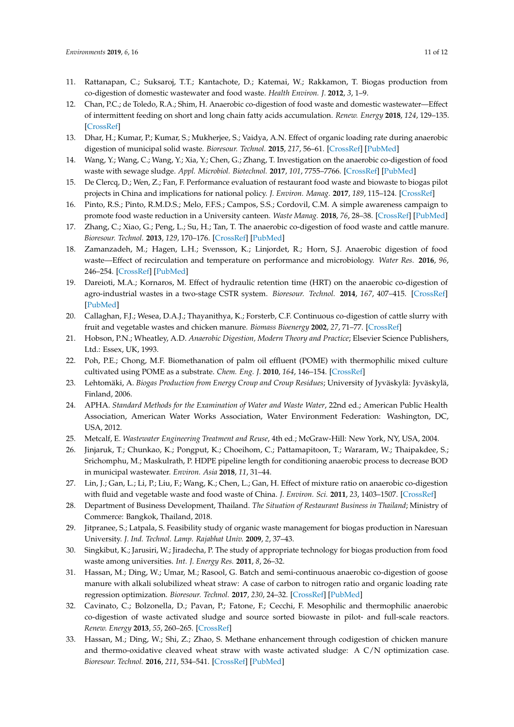- <span id="page-10-0"></span>11. Rattanapan, C.; Suksaroj, T.T.; Kantachote, D.; Katemai, W.; Rakkamon, T. Biogas production from co-digestion of domestic wastewater and food waste. *Health Environ. J.* **2012**, *3*, 1–9.
- <span id="page-10-1"></span>12. Chan, P.C.; de Toledo, R.A.; Shim, H. Anaerobic co-digestion of food waste and domestic wastewater—Effect of intermittent feeding on short and long chain fatty acids accumulation. *Renew. Energy* **2018**, *124*, 129–135. [\[CrossRef\]](http://dx.doi.org/10.1016/j.renene.2017.07.029)
- <span id="page-10-2"></span>13. Dhar, H.; Kumar, P.; Kumar, S.; Mukherjee, S.; Vaidya, A.N. Effect of organic loading rate during anaerobic digestion of municipal solid waste. *Bioresour. Technol.* **2015**, *217*, 56–61. [\[CrossRef\]](http://dx.doi.org/10.1016/j.biortech.2015.12.004) [\[PubMed\]](http://www.ncbi.nlm.nih.gov/pubmed/26733440)
- <span id="page-10-3"></span>14. Wang, Y.; Wang, C.; Wang, Y.; Xia, Y.; Chen, G.; Zhang, T. Investigation on the anaerobic co-digestion of food waste with sewage sludge. *Appl. Microbiol. Biotechnol.* **2017**, *101*, 7755–7766. [\[CrossRef\]](http://dx.doi.org/10.1007/s00253-017-8499-7) [\[PubMed\]](http://www.ncbi.nlm.nih.gov/pubmed/28913581)
- <span id="page-10-4"></span>15. De Clercq, D.; Wen, Z.; Fan, F. Performance evaluation of restaurant food waste and biowaste to biogas pilot projects in China and implications for national policy. *J. Environ. Manag.* **2017**, *189*, 115–124. [\[CrossRef\]](http://dx.doi.org/10.1016/j.jenvman.2016.12.030)
- <span id="page-10-5"></span>16. Pinto, R.S.; Pinto, R.M.D.S.; Melo, F.F.S.; Campos, S.S.; Cordovil, C.M. A simple awareness campaign to promote food waste reduction in a University canteen. *Waste Manag.* **2018**, *76*, 28–38. [\[CrossRef\]](http://dx.doi.org/10.1016/j.wasman.2018.02.044) [\[PubMed\]](http://www.ncbi.nlm.nih.gov/pubmed/29503053)
- <span id="page-10-6"></span>17. Zhang, C.; Xiao, G.; Peng, L.; Su, H.; Tan, T. The anaerobic co-digestion of food waste and cattle manure. *Bioresour. Technol.* **2013**, *129*, 170–176. [\[CrossRef\]](http://dx.doi.org/10.1016/j.biortech.2012.10.138) [\[PubMed\]](http://www.ncbi.nlm.nih.gov/pubmed/23246757)
- <span id="page-10-7"></span>18. Zamanzadeh, M.; Hagen, L.H.; Svensson, K.; Linjordet, R.; Horn, S.J. Anaerobic digestion of food waste—Effect of recirculation and temperature on performance and microbiology. *Water Res.* **2016**, *96*, 246–254. [\[CrossRef\]](http://dx.doi.org/10.1016/j.watres.2016.03.058) [\[PubMed\]](http://www.ncbi.nlm.nih.gov/pubmed/27060528)
- <span id="page-10-8"></span>19. Dareioti, M.A.; Kornaros, M. Effect of hydraulic retention time (HRT) on the anaerobic co-digestion of agro-industrial wastes in a two-stage CSTR system. *Bioresour. Technol.* **2014**, *167*, 407–415. [\[CrossRef\]](http://dx.doi.org/10.1016/j.biortech.2014.06.045) [\[PubMed\]](http://www.ncbi.nlm.nih.gov/pubmed/25000396)
- <span id="page-10-9"></span>20. Callaghan, F.J.; Wesea, D.A.J.; Thayanithya, K.; Forsterb, C.F. Continuous co-digestion of cattle slurry with fruit and vegetable wastes and chicken manure. *Biomass Bioenergy* **2002**, *27*, 71–77. [\[CrossRef\]](http://dx.doi.org/10.1016/S0961-9534(01)00057-5)
- <span id="page-10-10"></span>21. Hobson, P.N.; Wheatley, A.D. *Anaerobic Digestion, Modern Theory and Practice*; Elsevier Science Publishers, Ltd.: Essex, UK, 1993.
- <span id="page-10-11"></span>22. Poh, P.E.; Chong, M.F. Biomethanation of palm oil effluent (POME) with thermophilic mixed culture cultivated using POME as a substrate. *Chem. Eng. J.* **2010**, *164*, 146–154. [\[CrossRef\]](http://dx.doi.org/10.1016/j.cej.2010.08.044)
- <span id="page-10-12"></span>23. Lehtomäki, A. *Biogas Production from Energy Croup and Croup Residues*; University of Jyväskylä: Jyväskylä, Finland, 2006.
- <span id="page-10-13"></span>24. APHA. *Standard Methods for the Examination of Water and Waste Water*, 22nd ed.; American Public Health Association, American Water Works Association, Water Environment Federation: Washington, DC, USA, 2012.
- <span id="page-10-14"></span>25. Metcalf, E. *Wastewater Engineering Treatment and Reuse*, 4th ed.; McGraw-Hill: New York, NY, USA, 2004.
- <span id="page-10-15"></span>26. Jinjaruk, T.; Chunkao, K.; Pongput, K.; Choeihom, C.; Pattamapitoon, T.; Wararam, W.; Thaipakdee, S.; Srichomphu, M.; Maskulrath, P. HDPE pipeline length for conditioning anaerobic process to decrease BOD in municipal wastewater. *Environ. Asia* **2018**, *11*, 31–44.
- <span id="page-10-16"></span>27. Lin, J.; Gan, L.; Li, P.; Liu, F.; Wang, K.; Chen, L.; Gan, H. Effect of mixture ratio on anaerobic co-digestion with fluid and vegetable waste and food waste of China. *J. Environ. Sci.* **2011**, *23*, 1403–1507. [\[CrossRef\]](http://dx.doi.org/10.1016/S1001-0742(10)60572-4)
- <span id="page-10-17"></span>28. Department of Business Development, Thailand. *The Situation of Restaurant Business in Thailand*; Ministry of Commerce: Bangkok, Thailand, 2018.
- <span id="page-10-18"></span>29. Jitpranee, S.; Latpala, S. Feasibility study of organic waste management for biogas production in Naresuan University. *J. Ind. Technol. Lamp. Rajabhat Univ.* **2009**, *2*, 37–43.
- <span id="page-10-19"></span>30. Singkibut, K.; Jarusiri, W.; Jiradecha, P. The study of appropriate technology for biogas production from food waste among universities. *Int. J. Energy Res.* **2011**, *8*, 26–32.
- <span id="page-10-20"></span>31. Hassan, M.; Ding, W.; Umar, M.; Rasool, G. Batch and semi-continuous anaerobic co-digestion of goose manure with alkali solubilized wheat straw: A case of carbon to nitrogen ratio and organic loading rate regression optimization. *Bioresour. Technol.* **2017**, *230*, 24–32. [\[CrossRef\]](http://dx.doi.org/10.1016/j.biortech.2017.01.025) [\[PubMed\]](http://www.ncbi.nlm.nih.gov/pubmed/28147301)
- <span id="page-10-21"></span>32. Cavinato, C.; Bolzonella, D.; Pavan, P.; Fatone, F.; Cecchi, F. Mesophilic and thermophilic anaerobic co-digestion of waste activated sludge and source sorted biowaste in pilot- and full-scale reactors. *Renew. Energy* **2013**, *55*, 260–265. [\[CrossRef\]](http://dx.doi.org/10.1016/j.renene.2012.12.044)
- <span id="page-10-22"></span>33. Hassan, M.; Ding, W.; Shi, Z.; Zhao, S. Methane enhancement through codigestion of chicken manure and thermo-oxidative cleaved wheat straw with waste activated sludge: A C/N optimization case. *Bioresour. Technol.* **2016**, *211*, 534–541. [\[CrossRef\]](http://dx.doi.org/10.1016/j.biortech.2016.03.148) [\[PubMed\]](http://www.ncbi.nlm.nih.gov/pubmed/27038262)